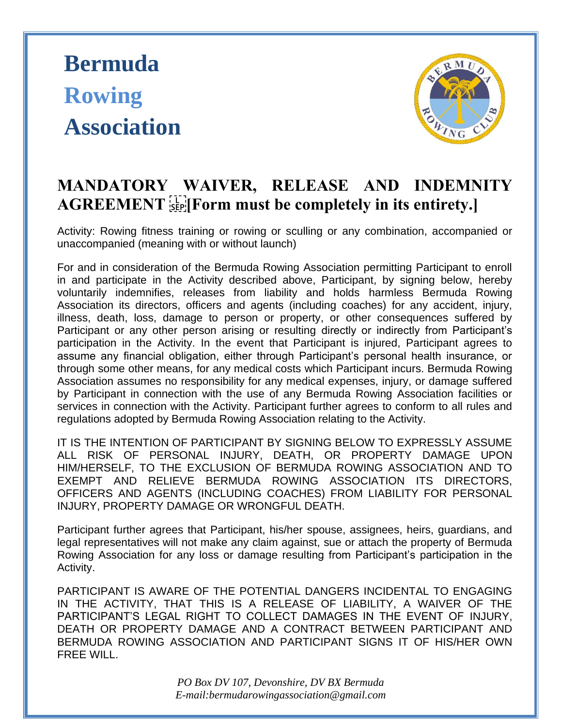## **Bermuda Rowing Association**



## **MANDATORY WAIVER, RELEASE AND INDEMNITY AGREEMENT 
[Form must be completely in its entirety.]**

Activity: Rowing fitness training or rowing or sculling or any combination, accompanied or unaccompanied (meaning with or without launch)

For and in consideration of the Bermuda Rowing Association permitting Participant to enroll in and participate in the Activity described above, Participant, by signing below, hereby voluntarily indemnifies, releases from liability and holds harmless Bermuda Rowing Association its directors, officers and agents (including coaches) for any accident, injury, illness, death, loss, damage to person or property, or other consequences suffered by Participant or any other person arising or resulting directly or indirectly from Participant's participation in the Activity. In the event that Participant is injured, Participant agrees to assume any financial obligation, either through Participant's personal health insurance, or through some other means, for any medical costs which Participant incurs. Bermuda Rowing Association assumes no responsibility for any medical expenses, injury, or damage suffered by Participant in connection with the use of any Bermuda Rowing Association facilities or services in connection with the Activity. Participant further agrees to conform to all rules and regulations adopted by Bermuda Rowing Association relating to the Activity.

IT IS THE INTENTION OF PARTICIPANT BY SIGNING BELOW TO EXPRESSLY ASSUME ALL RISK OF PERSONAL INJURY, DEATH, OR PROPERTY DAMAGE UPON HIM/HERSELF, TO THE EXCLUSION OF BERMUDA ROWING ASSOCIATION AND TO EXEMPT AND RELIEVE BERMUDA ROWING ASSOCIATION ITS DIRECTORS, OFFICERS AND AGENTS (INCLUDING COACHES) FROM LIABILITY FOR PERSONAL INJURY, PROPERTY DAMAGE OR WRONGFUL DEATH.

Participant further agrees that Participant, his/her spouse, assignees, heirs, guardians, and legal representatives will not make any claim against, sue or attach the property of Bermuda Rowing Association for any loss or damage resulting from Participant's participation in the Activity.

PARTICIPANT IS AWARE OF THE POTENTIAL DANGERS INCIDENTAL TO ENGAGING IN THE ACTIVITY, THAT THIS IS A RELEASE OF LIABILITY, A WAIVER OF THE PARTICIPANT'S LEGAL RIGHT TO COLLECT DAMAGES IN THE EVENT OF INJURY, DEATH OR PROPERTY DAMAGE AND A CONTRACT BETWEEN PARTICIPANT AND BERMUDA ROWING ASSOCIATION AND PARTICIPANT SIGNS IT OF HIS/HER OWN FREE WILL.

> *PO Box DV 107, Devonshire, DV BX Bermuda E-mail:bermudarowingassociation@gmail.com*